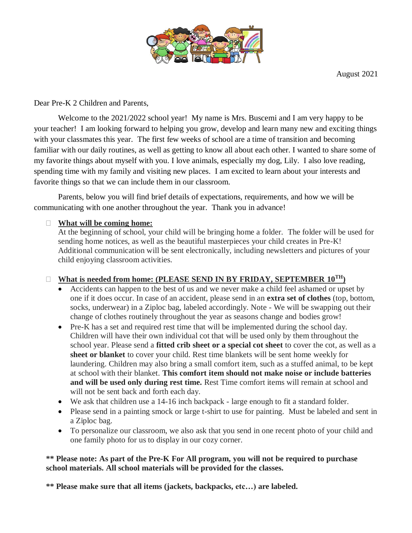

August 2021

Dear Pre-K 2 Children and Parents,

Welcome to the 2021/2022 school year! My name is Mrs. Buscemi and I am very happy to be your teacher! I am looking forward to helping you grow, develop and learn many new and exciting things with your classmates this year. The first few weeks of school are a time of transition and becoming familiar with our daily routines, as well as getting to know all about each other. I wanted to share some of my favorite things about myself with you. I love animals, especially my dog, Lily. I also love reading, spending time with my family and visiting new places. I am excited to learn about your interests and favorite things so that we can include them in our classroom.

Parents, below you will find brief details of expectations, requirements, and how we will be communicating with one another throughout the year. Thank you in advance!

## **What will be coming home:**

At the beginning of school, your child will be bringing home a folder. The folder will be used for sending home notices, as well as the beautiful masterpieces your child creates in Pre-K! Additional communication will be sent electronically, including newsletters and pictures of your child enjoying classroom activities.

## □ What is needed from home: (PLEASE SEND IN BY FRIDAY, SEPTEMBER  $10^{TH}$ )

- Accidents can happen to the best of us and we never make a child feel ashamed or upset by one if it does occur. In case of an accident, please send in an **extra set of clothes** (top, bottom, socks, underwear) in a Ziploc bag, labeled accordingly. Note - We will be swapping out their change of clothes routinely throughout the year as seasons change and bodies grow!
- Pre-K has a set and required rest time that will be implemented during the school day. Children will have their own individual cot that will be used only by them throughout the school year. Please send a **fitted crib sheet or a special cot sheet** to cover the cot, as well as a **sheet or blanket** to cover your child. Rest time blankets will be sent home weekly for laundering. Children may also bring a small comfort item, such as a stuffed animal, to be kept at school with their blanket. **This comfort item should not make noise or include batteries and will be used only during rest time.** Rest Time comfort items will remain at school and will not be sent back and forth each day.
- We ask that children use a 14-16 inch backpack large enough to fit a standard folder.
- Please send in a painting smock or large t-shirt to use for painting. Must be labeled and sent in a Ziploc bag.
- To personalize our classroom, we also ask that you send in one recent photo of your child and one family photo for us to display in our cozy corner.

## **\*\* Please note: As part of the Pre-K For All program, you will not be required to purchase school materials. All school materials will be provided for the classes.**

**\*\* Please make sure that all items (jackets, backpacks, etc…) are labeled.**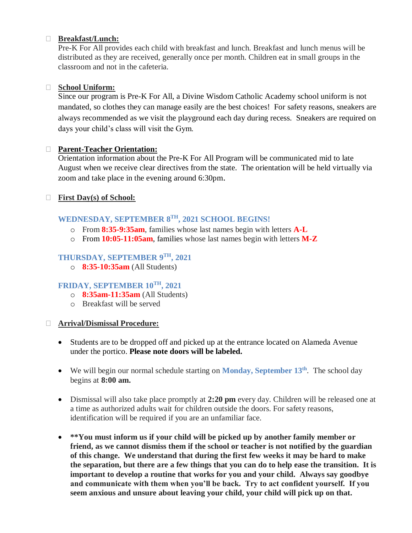#### **Breakfast/Lunch:**

Pre-K For All provides each child with breakfast and lunch. Breakfast and lunch menus will be distributed as they are received, generally once per month. Children eat in small groups in the classroom and not in the cafeteria.

#### **School Uniform:**

Since our program is Pre-K For All, a Divine Wisdom Catholic Academy school uniform is not mandated, so clothes they can manage easily are the best choices! For safety reasons, sneakers are always recommended as we visit the playground each day during recess. Sneakers are required on days your child's class will visit the Gym.

#### **Parent-Teacher Orientation:**

Orientation information about the Pre-K For All Program will be communicated mid to late August when we receive clear directives from the state. The orientation will be held virtually via zoom and take place in the evening around 6:30pm.

## **First Day(s) of School:**

## **WEDNESDAY, SEPTEMBER 8 TH, 2021 SCHOOL BEGINS!**

- o From **8:35-9:35am**, families whose last names begin with letters **A-L**
- o From **10:05-11:05am**, families whose last names begin with letters **M-Z**

## **THURSDAY, SEPTEMBER 9 TH, 2021**

o **8:35-10:35am** (All Students)

## **FRIDAY, SEPTEMBER 10TH, 2021**

- o **8:35am-11:35am** (All Students)
- o Breakfast will be served

#### **Arrival/Dismissal Procedure:**

- Students are to be dropped off and picked up at the entrance located on Alameda Avenue under the portico. **Please note doors will be labeled.**
- We will begin our normal schedule starting on **Monday**, September 13<sup>th</sup>. The school day begins at **8:00 am.**
- Dismissal will also take place promptly at **2:20 pm** every day. Children will be released one at a time as authorized adults wait for children outside the doors. For safety reasons, identification will be required if you are an unfamiliar face.
- **\*\*You must inform us if your child will be picked up by another family member or friend, as we cannot dismiss them if the school or teacher is not notified by the guardian of this change. We understand that during the first few weeks it may be hard to make the separation, but there are a few things that you can do to help ease the transition. It is important to develop a routine that works for you and your child. Always say goodbye and communicate with them when you'll be back. Try to act confident yourself. If you seem anxious and unsure about leaving your child, your child will pick up on that.**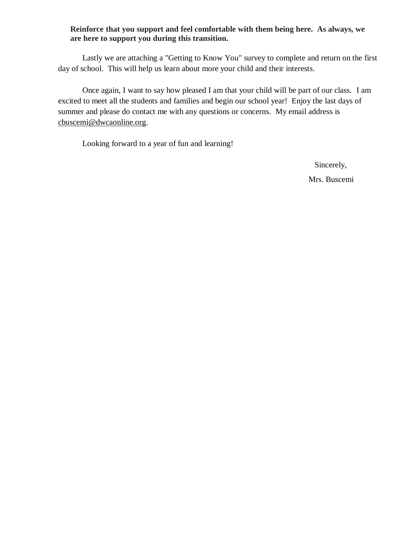#### **Reinforce that you support and feel comfortable with them being here. As always, we are here to support you during this transition.**

Lastly we are attaching a "Getting to Know You" survey to complete and return on the first day of school. This will help us learn about more your child and their interests.

Once again, I want to say how pleased I am that your child will be part of our class. I am excited to meet all the students and families and begin our school year! Enjoy the last days of summer and please do contact me with any questions or concerns. My email address is [cbuscemi@dwcaonline.org.](mailto:cbuscemi@dwcaonline.org)

Looking forward to a year of fun and learning!

Sincerely,

Mrs. Buscemi